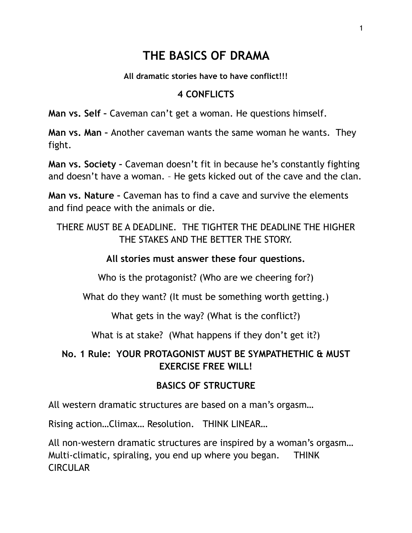# **THE BASICS OF DRAMA**

**All dramatic stories have to have conflict!!!**

### **4 CONFLICTS**

**Man vs. Self –** Caveman can't get a woman. He questions himself.

**Man vs. Man –** Another caveman wants the same woman he wants. They fight.

**Man vs. Society –** Caveman doesn't fit in because he's constantly fighting and doesn't have a woman. – He gets kicked out of the cave and the clan.

**Man vs. Nature –** Caveman has to find a cave and survive the elements and find peace with the animals or die.

THERE MUST BE A DEADLINE. THE TIGHTER THE DEADLINE THE HIGHER THE STAKES AND THE BETTER THE STORY.

### **All stories must answer these four questions.**

Who is the protagonist? (Who are we cheering for?)

What do they want? (It must be something worth getting.)

What gets in the way? (What is the conflict?)

What is at stake? (What happens if they don't get it?)

## **No. 1 Rule: YOUR PROTAGONIST MUST BE SYMPATHETHIC & MUST EXERCISE FREE WILL!**

## **BASICS OF STRUCTURE**

All western dramatic structures are based on a man's orgasm…

Rising action…Climax… Resolution. THINK LINEAR…

All non-western dramatic structures are inspired by a woman's orgasm… Multi-climatic, spiraling, you end up where you began. THINK **CIRCULAR**